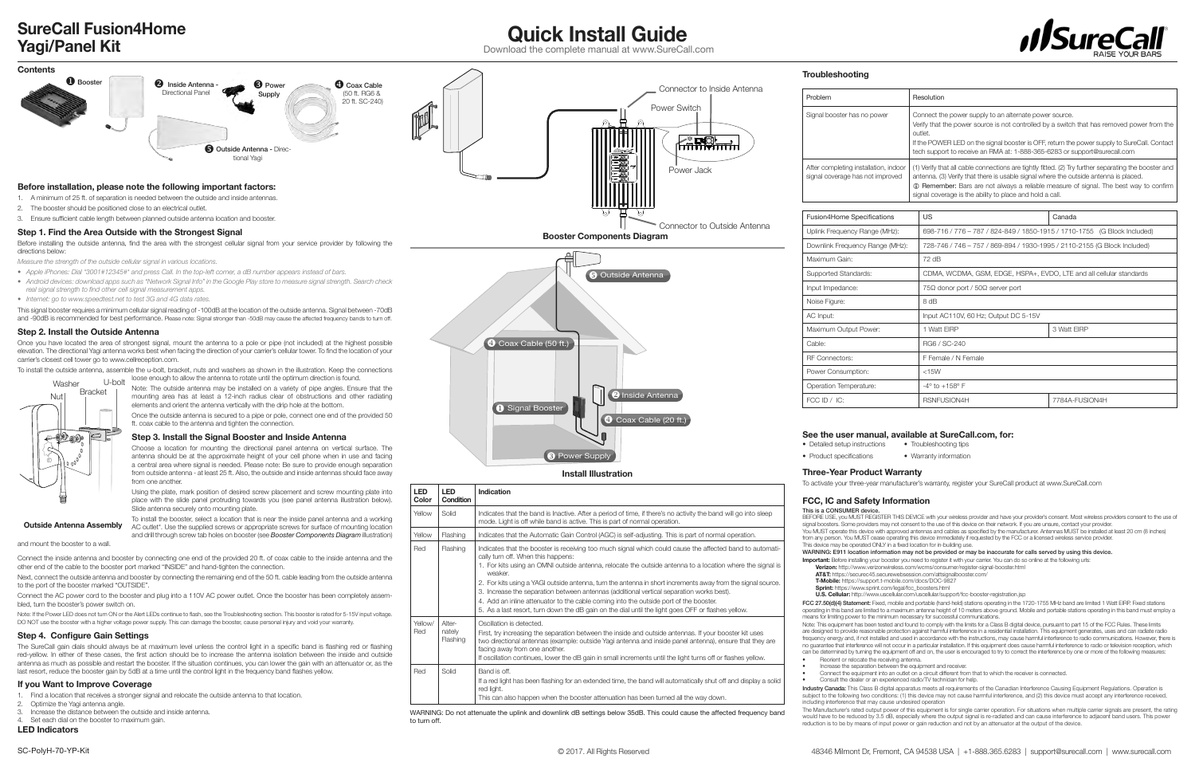**LED Color** **LED Condition** **Indication**

cally turn off. When this happens: 1. For kits using an OMNI outside antenna, relocate the outside antenna to a location where the signal is weaker

**Flashing** two directional antennas (example: outside Yagi antenna and inside panel antenna), ensure that they are facing away from one another. If oscillation continues, lower the dB gain in small increments until the light turns off or flashes yellow. Red Solid Band is off. If a red light has been flashing for an extended time, the band will automatically shut off and display a solid red light. This can also happen when the booster attenuation has been turned all the way down.

Yellow Solid Indicates that the band is Inactive. After a period of time, if there's no activity the band will go into sleep mode. Light is off while band is active. This is part of normal operation. Yellow | Flashing | Indicates that the Automatic Gain Control (AGC) is self-adjusting. This is part of normal operation. Red Flashing Indicates that the booster is receiving too much signal which could cause the affected band to automati-

2. For kits using a YAGI outside antenna, turn the antenna in short increments away from the signal source. 3. Increase the separation between antennas (additional vertical separation works best). 4. Add an inline attenuator to the cable coming into the outside port of the booster. 5. As a last resort, turn down the dB gain on the dial until the light goes OFF or flashes yellow. Yellow/ Red **Alter** nately Oscillation is detected First, try increasing the separation between the inside and outside antennas. If your booster kit uses

WARNING: Do not attenuate the uplink and downlink dB settings below 35dB. This could cause the affected frequency band to turn off.

Supported Standards: Input Impedance Noise Figure:

RF Connectors: Operation Temperature:



- *Measure the strength of the outside cellular signal in various locations.*
- *• Apple iPhones: Dial \*3001#12345#\* and press Call. In the top-left corner, a dB number appears instead of bars.*
- *• Android devices: download apps such as "Network Signal Info" in the Google Play store to measure signal strength. Search check real signal strength to find other cell signal measurement apps.*
- *• Internet: go to www.speedtest.net to test 3G and 4G data rates.*

This signal booster requires a minimum cellular signal reading of -100dB at the location of the outside antenna. Signal between -70dB and -90dB is recommended for best performance. Please note: Signal stronger than -50dB may cause the affected frequency bands to turn off.

## **Step 2. Install the Outside Antenna**

Once you have located the area of strongest signal, mount the antenna to a pole or pipe (not included) at the highest possible elevation. The directional Yagi antenna works best when facing the direction of your carrier's cellular tower. To find the location of your carrier's closest cell tower go to www.cellreception.com.

- 2. Optimize the Yagi antenna angle.
- Increase the distance between the outside and inside antenna.

Set each dial on the booster to maximum gain.

To install the outside antenna, assemble the u-bolt, bracket, nuts and washers as shown in the illustration. Keep the connections

loose enough to allow the antenna to rotate until the optimum direction is found.

Note: The outside antenna may be installed on a variety of pipe angles. Ensure that the

mounting area has at least a 12-inch radius clear of obstructions and other radiating elements and orient the antenna vertically with the drip hole at the bottom. Once the outside antenna is secured to a pipe or pole, connect one end of the provided 50 ft. coax cable to the antenna and tighten the connection.

**Step 3. Install the Signal Booster and Inside Antenna**

Choose a location for mounting the directional panel antenna on vertical surface. The antenna should be at the approximate height of your cell phone when in use and facing a central area where signal is needed. Please note: Be sure to provide enough separation from outside antenna - at least 25 ft. Also, the outside and inside antennas should face away from one another.

Using the plate, mark position of desired screw placement and screw mounting plate into place with the slide panel protruding towards you (see panel antenna illustration below). Slide antenna securely onto mounting plate.

To install the booster, select a location that is near the inside panel antenna and a working AC outlet\*. Use the supplied screws or appropriate screws for surface of mounting location and drill through screw tab holes on booster (see *Booster Components Diagram* illustration)

and mount the booster to a wall.

Connect the inside antenna and booster by connecting one end of the provided 20 ft. of coax cable to the inside antenna and the other end of the cable to the booster port marked "INSIDE" and hand-tighten the connection.

Next, connect the outside antenna and booster by connecting the remaining end of the 50 ft. cable leading from the outside antenna to the port of the booster marked "OUTSIDE".

Connect the AC power cord to the booster and plug into a 110V AC power outlet. Once the booster has been completely assembled, turn the booster's power switch on.

Note: If the Power LED does not turn ON or the Alert LEDs continue to flash, see the Troubleshooting section. This booster is rated for 5-15V input voltage. DO NOT use the booster with a higher voltage power supply. This can damage the booster, cause personal injury and void your warranty.

## **Step 4. Configure Gain Settings**

The SureCall gain dials should always be at maximum level unless the control light in a specific band is flashing red or flashing red-yellow. In either of these cases, the first action should be to increase the antenna isolation between the inside and outside antenna as much as possible and restart the booster. If the situation continues, you can lower the gain with an attenuator or, as the last resort, reduce the booster gain by 5dB at a time until the control light in the frequency band flashes yellow.

## **If you Want to Improve Coverage**

Find a location that receives a stronger signal and relocate the outside antenna to that location.

**LED Indicators**



**Install Illustration**

**O** Power Supply

## **Quick Install Guide SureCall Fusion4Home Yagi/Panel Kit**

**Outside Antenna Assembly**



Download the complete manual at www.SureCall.com

## See the user manual, available at SureCall.com, for:<br>
• Detailed setup instructions • Troubleshooting tips

 $\bullet$  Detailed setup instructions

• Product specifications • Warranty information

## **Three-Year Product Warranty**

To activate your three-year manufacturer's warranty, register your SureCall product at www.SureCall.com

## **FCC, IC and Safety Information**

BEFORE USE, you MUST REGISTER THIS DEVICE with your wireless provider and have your provider's consent. Most wireless providers consent to the use of signal boosters. Some providers may not consent to the use of this device on their network. If you are unsure, contact your provider.

This is a CONSUMER device. This device may be operated ONLY in a fixed location for in-building use.

- You MUST operate this device with approved antennas and cables as specified by the manufacturer. Antennas MUST be installed at least 20 cm (8 inches) from any person. You MUST cease operating this device immediately if requested by the FCC or a licensed wireless service provider.
- WARNING: E911 location information may not be provided or may be inaccurate for calls served by using this device.
- **Important:** Before installing your booster you need to register it with your carrier. You can do so online at the following urls:
	- **Verizon:** http://www.verizonwireless.com/wcms/consumer/register-signal-booster.html
- **AT&T:** https://securec45.securewebsession.com/attsignalbooster.com/
- **T-Mobile:** https://support.t-mobile.com/docs/DOC-9827
- **Sprint:** https://www.sprint.com/legal/fcc\_boosters.html
- **U.S. Cellular:** http://www.uscellular.com/uscellular/support/fcc-booster-registration.jsp
- FCC 27.50(d)(4) Statement: Fixed, mobile and portable (hand-held) stations operating in the 1720-1755 MHz band are limited 1 Watt EIRP. Fixed stations operating in this band are limited to a maximum antenna height of 10 meters above ground. Mobile and portable stations operating in this band must employ a<br>means for limiting power to the minimum necessary for successful c
- Note: This equipment has been tested and found to comply with the limits for a Class B digital device, pursuant to part 15 of the FCC Rules. These limits are designed to provide reasonable protection against harmful interference in a residential installation. This equipment generates, uses and can radiate radio frequency energy and, if not installed and used in accordance with the instructions, may cause harmful interference to radio communications. However, there is no guarantee that interference will not occur in a particular installation. If this equipment does cause harmful interference to radio or television reception, which can be determined by turning the equipment off and on, the user is encouraged to try to correct the interference by one or more of the following measures: • Reorient or relocate the receiving antenna.
	- Increase the separation between the equipment and receiver.
	- Connect the equipment into an outlet on a circuit different from that to which the receiver is connected.
	- Consult the dealer or an experienced radio/TV technician for help.
- Industry Canada: This Class B digital apparatus meets all requirements of the Canadian Interference Causing Equipment Regulations. Operation is subject to the following two conditions: (1) this device may not cause harmful interference, and (2) this device must accept any interference received,
- The Manufacturer's rated output power of this equipment is for single carrier operation. For situations when multiple carrier signals are present, the rating would have to be reduced by 3.5 dB, especially where the output signal is re-radiated and can cause interference to adjacent band users. This power reduction is to be by means of input power or gain reduction and not by an attenuator at the output of the device.



including interference that may cause undesired operation

|                       | Resolution                                                                                                                                                                                                                                                                                                                                               |
|-----------------------|----------------------------------------------------------------------------------------------------------------------------------------------------------------------------------------------------------------------------------------------------------------------------------------------------------------------------------------------------------|
| wer                   | Connect the power supply to an alternate power source.<br>Verify that the power source is not controlled by a switch that has removed power from the<br>outlet.<br>If the POWER LED on the signal booster is OFF, return the power supply to SureCall. Contact<br>tech support to receive an RMA at: 1-888-365-6283 or support@surecall.com              |
| on, indoor<br>mproved | (1) Verify that all cable connections are tightly fitted. (2) Try further separating the booster and<br>antenna. (3) Verify that there is usable signal where the outside antenna is placed.<br><b>1</b> Remember: Bars are not always a reliable measure of signal. The best way to confirm<br>signal coverage is the ability to place and hold a call. |

| <b>Fusion4Home Specifications</b> | US                                                                       | Canada         |  |
|-----------------------------------|--------------------------------------------------------------------------|----------------|--|
| Uplink Frequency Range (MHz):     | 698-716 / 776 - 787 / 824-849 / 1850-1915 / 1710-1755 (G Block Included) |                |  |
| Downlink Frequency Range (MHz):   | 728-746 / 746 - 757 / 869-894 / 1930-1995 / 2110-2155 (G Block Included) |                |  |
| Maximum Gain:                     | 72 dB                                                                    |                |  |
| Supported Standards:              | CDMA, WCDMA, GSM, EDGE, HSPA+, EVDO, LTE and all cellular standards      |                |  |
| Input Impedance:                  | $75\Omega$ donor port / $50\Omega$ server port                           |                |  |
| Noise Figure:                     | 8 dB                                                                     |                |  |
| AC Input:                         | Input AC110V, 60 Hz; Output DC 5-15V                                     |                |  |
| Maximum Output Power:             | 1 Watt EIRP                                                              | 3 Watt EIRP    |  |
| Cable:                            | RG6 / SC-240                                                             |                |  |
| <b>RF Connectors:</b>             | F Female / N Female                                                      |                |  |
| Power Consumption:                | $<$ 15W                                                                  |                |  |
| Operation Temperature:            | $-4^{\circ}$ to $+158^{\circ}$ F                                         |                |  |
| FCC ID / IC:                      | RSNFUSION4H                                                              | 7784A-FUSION4H |  |
|                                   |                                                                          |                |  |

- -